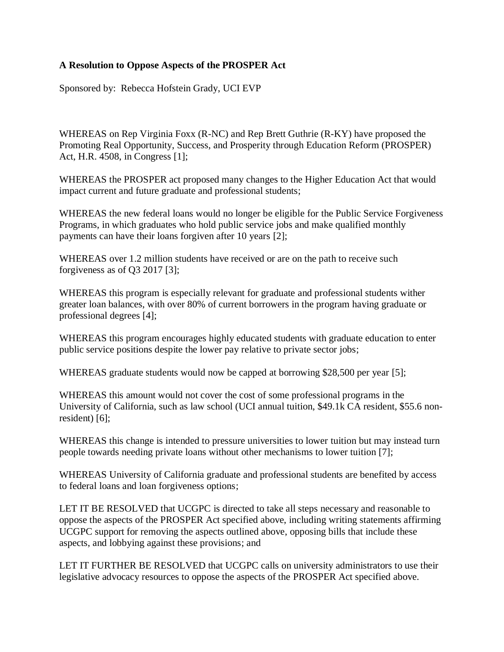## **A Resolution to Oppose Aspects of the PROSPER Act**

Sponsored by: Rebecca Hofstein Grady, UCI EVP

WHEREAS on Rep Virginia Foxx (R-NC) and Rep Brett Guthrie (R-KY) have proposed the Promoting Real Opportunity, Success, and Prosperity through Education Reform (PROSPER) Act, H.R. 4508, in Congress [1];

WHEREAS the PROSPER act proposed many changes to the Higher Education Act that would impact current and future graduate and professional students;

WHEREAS the new federal loans would no longer be eligible for the Public Service Forgiveness Programs, in which graduates who hold public service jobs and make qualified monthly payments can have their loans forgiven after 10 years [2];

WHEREAS over 1.2 million students have received or are on the path to receive such forgiveness as of Q3 2017 [3];

WHEREAS this program is especially relevant for graduate and professional students wither greater loan balances, with over 80% of current borrowers in the program having graduate or professional degrees [4];

WHEREAS this program encourages highly educated students with graduate education to enter public service positions despite the lower pay relative to private sector jobs;

WHEREAS graduate students would now be capped at borrowing \$28,500 per year [5];

WHEREAS this amount would not cover the cost of some professional programs in the University of California, such as law school (UCI annual tuition, \$49.1k CA resident, \$55.6 nonresident) [6];

WHEREAS this change is intended to pressure universities to lower tuition but may instead turn people towards needing private loans without other mechanisms to lower tuition [7];

WHEREAS University of California graduate and professional students are benefited by access to federal loans and loan forgiveness options;

LET IT BE RESOLVED that UCGPC is directed to take all steps necessary and reasonable to oppose the aspects of the PROSPER Act specified above, including writing statements affirming UCGPC support for removing the aspects outlined above, opposing bills that include these aspects, and lobbying against these provisions; and

LET IT FURTHER BE RESOLVED that UCGPC calls on university administrators to use their legislative advocacy resources to oppose the aspects of the PROSPER Act specified above.